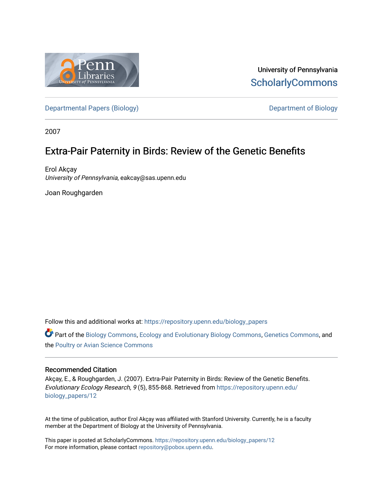

University of Pennsylvania **ScholarlyCommons** 

[Departmental Papers \(Biology\)](https://repository.upenn.edu/biology_papers) and Department of Biology

2007

# Extra-Pair Paternity in Birds: Review of the Genetic Benefits

Erol Akçay University of Pennsylvania, eakcay@sas.upenn.edu

Joan Roughgarden

Follow this and additional works at: [https://repository.upenn.edu/biology\\_papers](https://repository.upenn.edu/biology_papers?utm_source=repository.upenn.edu%2Fbiology_papers%2F12&utm_medium=PDF&utm_campaign=PDFCoverPages) 

**C** Part of the [Biology Commons,](http://network.bepress.com/hgg/discipline/41?utm_source=repository.upenn.edu%2Fbiology_papers%2F12&utm_medium=PDF&utm_campaign=PDFCoverPages) [Ecology and Evolutionary Biology Commons](http://network.bepress.com/hgg/discipline/14?utm_source=repository.upenn.edu%2Fbiology_papers%2F12&utm_medium=PDF&utm_campaign=PDFCoverPages), [Genetics Commons](http://network.bepress.com/hgg/discipline/29?utm_source=repository.upenn.edu%2Fbiology_papers%2F12&utm_medium=PDF&utm_campaign=PDFCoverPages), and the [Poultry or Avian Science Commons](http://network.bepress.com/hgg/discipline/80?utm_source=repository.upenn.edu%2Fbiology_papers%2F12&utm_medium=PDF&utm_campaign=PDFCoverPages)

### Recommended Citation

Akçay, E., & Roughgarden, J. (2007). Extra-Pair Paternity in Birds: Review of the Genetic Benefits. Evolutionary Ecology Research, 9 (5), 855-868. Retrieved from [https://repository.upenn.edu/](https://repository.upenn.edu/biology_papers/12?utm_source=repository.upenn.edu%2Fbiology_papers%2F12&utm_medium=PDF&utm_campaign=PDFCoverPages) [biology\\_papers/12](https://repository.upenn.edu/biology_papers/12?utm_source=repository.upenn.edu%2Fbiology_papers%2F12&utm_medium=PDF&utm_campaign=PDFCoverPages) 

At the time of publication, author Erol Akçay was affiliated with Stanford University. Currently, he is a faculty member at the Department of Biology at the University of Pennsylvania.

This paper is posted at ScholarlyCommons. [https://repository.upenn.edu/biology\\_papers/12](https://repository.upenn.edu/biology_papers/12) For more information, please contact [repository@pobox.upenn.edu.](mailto:repository@pobox.upenn.edu)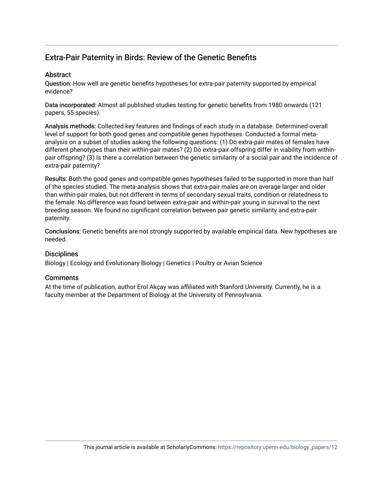## Extra-Pair Paternity in Birds: Review of the Genetic Benefits

## **Abstract**

Question: How well are genetic benefits hypotheses for extra-pair paternity supported by empirical evidence?

Data incorporated: Almost all published studies testing for genetic benefits from 1980 onwards (121 papers, 55 species).

Analysis methods: Collected key features and findings of each study in a database. Determined overall level of support for both good genes and compatible genes hypotheses. Conducted a formal metaanalysis on a subset of studies asking the following questions: (1) Do extra-pair mates of females have different phenotypes than their within-pair mates? (2) Do extra-pair offspring differ in viability from withinpair offspring? (3) Is there a correlation between the genetic similarity of a social pair and the incidence of extra-pair paternity?

Results: Both the good genes and compatible genes hypotheses failed to be supported in more than half of the species studied. The meta-analysis shows that extra-pair males are on average larger and older than within-pair males, but not different in terms of secondary sexual traits, condition or relatedness to the female. No difference was found between extra-pair and within-pair young in survival to the next breeding season. We found no significant correlation between pair genetic similarity and extra-pair paternity.

Conclusions: Genetic benefits are not strongly supported by available empirical data. New hypotheses are needed.

## **Disciplines**

Biology | Ecology and Evolutionary Biology | Genetics | Poultry or Avian Science

## **Comments**

At the time of publication, author Erol Akçay was affiliated with Stanford University. Currently, he is a faculty member at the Department of Biology at the University of Pennsylvania.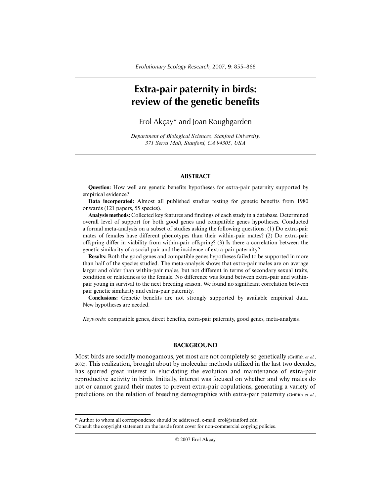## **Extra-pair paternity in birds: review of the genetic benefits**

Erol Akçay\* and Joan Roughgarden

*Department of Biological Sciences, Stanford University, 371 Serra Mall, Stanford, CA 94305, USA*

#### **ABSTRACT**

**Question:** How well are genetic benefits hypotheses for extra-pair paternity supported by empirical evidence?

**Data incorporated:** Almost all published studies testing for genetic benefits from 1980 onwards (121 papers, 55 species).

**Analysis methods:** Collected key features and findings of each study in a database. Determined overall level of support for both good genes and compatible genes hypotheses. Conducted a formal meta-analysis on a subset of studies asking the following questions: (1) Do extra-pair mates of females have different phenotypes than their within-pair mates? (2) Do extra-pair offspring differ in viability from within-pair offspring? (3) Is there a correlation between the genetic similarity of a social pair and the incidence of extra-pair paternity?

**Results:** Both the good genes and compatible genes hypotheses failed to be supported in more than half of the species studied. The meta-analysis shows that extra-pair males are on average larger and older than within-pair males, but not different in terms of secondary sexual traits, condition or relatedness to the female. No difference was found between extra-pair and withinpair young in survival to the next breeding season. We found no significant correlation between pair genetic similarity and extra-pair paternity.

**Conclusions:** Genetic benefits are not strongly supported by available empirical data. New hypotheses are needed.

*Keywords*: compatible genes, direct benefits, extra-pair paternity, good genes, meta-analysis.

#### **BACKGROUND**

Most birds are socially monogamous, yet most are not completely so genetically (Griffith *et al.*, 2002). This realization, brought about by molecular methods utilized in the last two decades, has spurred great interest in elucidating the evolution and maintenance of extra-pair reproductive activity in birds. Initially, interest was focused on whether and why males do not or cannot guard their mates to prevent extra-pair copulations, generating a variety of predictions on the relation of breeding demographics with extra-pair paternity (Griffith *et al.*,

<sup>\*</sup> Author to whom all correspondence should be addressed. e-mail: erol@stanford.edu Consult the copyright statement on the inside front cover for non-commercial copying policies.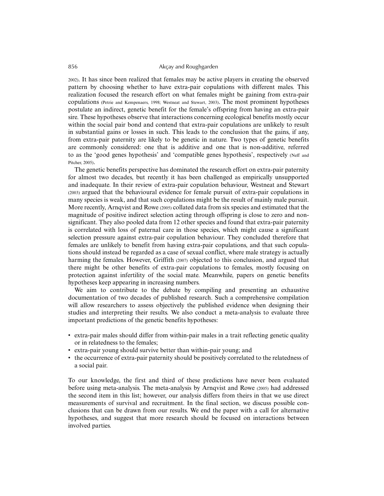2002). It has since been realized that females may be active players in creating the observed pattern by choosing whether to have extra-pair copulations with different males. This realization focused the research effort on what females might be gaining from extra-pair copulations (Petrie and Kempenaers, 1998; Westneat and Stewart, 2003). The most prominent hypotheses postulate an indirect, genetic benefit for the female's offspring from having an extra-pair sire. These hypotheses observe that interactions concerning ecological benefits mostly occur within the social pair bond and contend that extra-pair copulations are unlikely to result in substantial gains or losses in such. This leads to the conclusion that the gains, if any, from extra-pair paternity are likely to be genetic in nature. Two types of genetic benefits are commonly considered: one that is additive and one that is non-additive, referred to as the 'good genes hypothesis' and 'compatible genes hypothesis', respectively (Neff and Pitcher, 2005).

The genetic benefits perspective has dominated the research effort on extra-pair paternity for almost two decades, but recently it has been challenged as empirically unsupported and inadequate. In their review of extra-pair copulation behaviour, Westneat and Stewart (2003) argued that the behavioural evidence for female pursuit of extra-pair copulations in many species is weak, and that such copulations might be the result of mainly male pursuit. More recently, Arnqvist and Rowe (2005) collated data from six species and estimated that the magnitude of positive indirect selection acting through offspring is close to zero and nonsignificant. They also pooled data from 12 other species and found that extra-pair paternity is correlated with loss of paternal care in those species, which might cause a significant selection pressure against extra-pair copulation behaviour. They concluded therefore that females are unlikely to benefit from having extra-pair copulations, and that such copulations should instead be regarded as a case of sexual conflict, where male strategy is actually harming the females. However, Griffith (2007) objected to this conclusion, and argued that there might be other benefits of extra-pair copulations to females, mostly focusing on protection against infertility of the social mate. Meanwhile, papers on genetic benefits hypotheses keep appearing in increasing numbers.

We aim to contribute to the debate by compiling and presenting an exhaustive documentation of two decades of published research. Such a comprehensive compilation will allow researchers to assess objectively the published evidence when designing their studies and interpreting their results. We also conduct a meta-analysis to evaluate three important predictions of the genetic benefits hypotheses:

- extra-pair males should differ from within-pair males in a trait reflecting genetic quality or in relatedness to the females;
- extra-pair young should survive better than within-pair young; and
- the occurrence of extra-pair paternity should be positively correlated to the relatedness of a social pair.

To our knowledge, the first and third of these predictions have never been evaluated before using meta-analysis. The meta-analysis by Arnqvist and Rowe (2005) had addressed the second item in this list; however, our analysis differs from theirs in that we use direct measurements of survival and recruitment. In the final section, we discuss possible conclusions that can be drawn from our results. We end the paper with a call for alternative hypotheses, and suggest that more research should be focused on interactions between involved parties.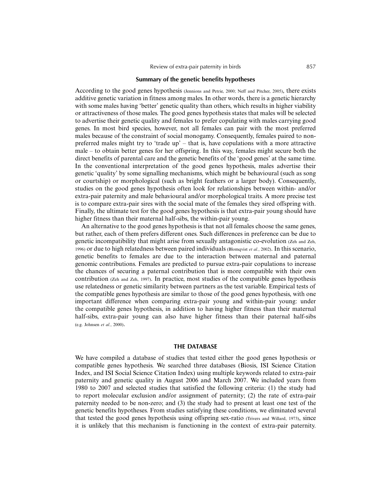#### **Summary of the genetic benefits hypotheses**

According to the good genes hypothesis (Jennions and Petrie, 2000; Neff and Pitcher, 2005), there exists additive genetic variation in fitness among males. In other words, there is a genetic hierarchy with some males having 'better' genetic quality than others, which results in higher viability or attractiveness of those males. The good genes hypothesis states that males will be selected to advertise their genetic quality and females to prefer copulating with males carrying good genes. In most bird species, however, not all females can pair with the most preferred males because of the constraint of social monogamy. Consequently, females paired to nonpreferred males might try to 'trade up' – that is, have copulations with a more attractive male – to obtain better genes for her offspring. In this way, females might secure both the direct benefits of parental care and the genetic benefits of the 'good genes' at the same time. In the conventional interpretation of the good genes hypothesis, males advertise their genetic 'quality' by some signalling mechanisms, which might be behavioural (such as song or courtship) or morphological (such as bright feathers or a larger body). Consequently, studies on the good genes hypothesis often look for relationships between within- and/or extra-pair paternity and male behavioural and/or morphological traits. A more precise test is to compare extra-pair sires with the social mate of the females they sired offspring with. Finally, the ultimate test for the good genes hypothesis is that extra-pair young should have higher fitness than their maternal half-sibs, the within-pair young.

An alternative to the good genes hypothesis is that not all females choose the same genes, but rather, each of them prefers different ones. Such differences in preference can be due to genetic incompatibility that might arise from sexually antagonistic co-evolution (Zeh and Zeh, 1996) or due to high relatedness between paired individuals (Blomqvist *et al.*, 2002). In this scenario, genetic benefits to females are due to the interaction between maternal and paternal genomic contributions. Females are predicted to pursue extra-pair copulations to increase the chances of securing a paternal contribution that is more compatible with their own contribution (Zeh and Zeh, 1997). In practice, most studies of the compatible genes hypothesis use relatedness or genetic similarity between partners as the test variable. Empirical tests of the compatible genes hypothesis are similar to those of the good genes hypothesis, with one important difference when comparing extra-pair young and within-pair young: under the compatible genes hypothesis, in addition to having higher fitness than their maternal half-sibs, extra-pair young can also have higher fitness than their paternal half-sibs (e.g. Johnsen *et al.*, 2000).

#### **THE DATABASE**

We have compiled a database of studies that tested either the good genes hypothesis or compatible genes hypothesis. We searched three databases (Biosis, ISI Science Citation Index, and ISI Social Science Citation Index) using multiple keywords related to extra-pair paternity and genetic quality in August 2006 and March 2007. We included years from 1980 to 2007 and selected studies that satisfied the following criteria: (1) the study had to report molecular exclusion and/or assignment of paternity; (2) the rate of extra-pair paternity needed to be non-zero; and (3) the study had to present at least one test of the genetic benefits hypotheses. From studies satisfying these conditions, we eliminated several that tested the good genes hypothesis using offspring sex-ratio (Trivers and Willard, 1973), since it is unlikely that this mechanism is functioning in the context of extra-pair paternity.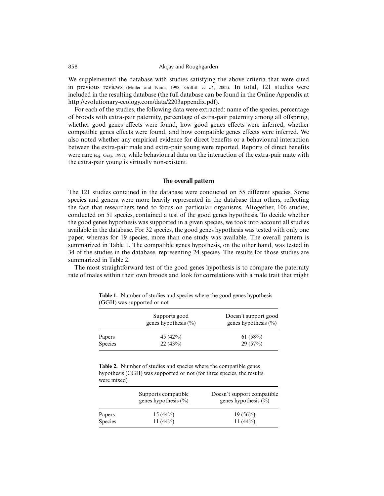We supplemented the database with studies satisfying the above criteria that were cited in previous reviews (Møller and Ninni, 1998; Griffith *et al.*, 2002). In total, 121 studies were included in the resulting database (the full database can be found in the Online Appendix at http://evolutionary-ecology.com/data/2203appendix.pdf).

For each of the studies, the following data were extracted: name of the species, percentage of broods with extra-pair paternity, percentage of extra-pair paternity among all offspring, whether good genes effects were found, how good genes effects were inferred, whether compatible genes effects were found, and how compatible genes effects were inferred. We also noted whether any empirical evidence for direct benefits or a behavioural interaction between the extra-pair male and extra-pair young were reported. Reports of direct benefits were rare (e.g. Gray, 1997), while behavioural data on the interaction of the extra-pair mate with the extra-pair young is virtually non-existent.

#### **The overall pattern**

The 121 studies contained in the database were conducted on 55 different species. Some species and genera were more heavily represented in the database than others, reflecting the fact that researchers tend to focus on particular organisms. Altogether, 106 studies, conducted on 51 species, contained a test of the good genes hypothesis. To decide whether the good genes hypothesis was supported in a given species, we took into account all studies available in the database. For 32 species, the good genes hypothesis was tested with only one paper, whereas for 19 species, more than one study was available. The overall pattern is summarized in Table 1. The compatible genes hypothesis, on the other hand, was tested in 34 of the studies in the database, representing 24 species. The results for those studies are summarized in Table 2.

The most straightforward test of the good genes hypothesis is to compare the paternity rate of males within their own broods and look for correlations with a male trait that might

| Supports good<br>genes hypothesis $(\%)$ | Doesn't support good<br>genes hypothesis $(\% )$ |
|------------------------------------------|--------------------------------------------------|
| 45 $(42\%)$                              | 61(58%)<br>29(57%)                               |
|                                          | 22(43%)                                          |

**Table 1.** Number of studies and species where the good genes hypothesis (GGH) was supported or not

**Table 2.** Number of studies and species where the compatible genes hypothesis (CGH) was supported or not (for three species, the results were mixed)

|                | Supports compatible<br>genes hypothesis $(\% )$ | Doesn't support compatible<br>genes hypothesis $(\%)$ |  |
|----------------|-------------------------------------------------|-------------------------------------------------------|--|
| Papers         | $15(44\%)$                                      | $19(56\%)$                                            |  |
| <b>Species</b> | 11 $(44\%)$                                     | 11 $(44\%)$                                           |  |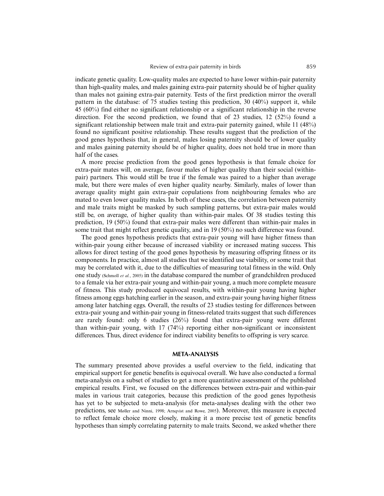indicate genetic quality. Low-quality males are expected to have lower within-pair paternity than high-quality males, and males gaining extra-pair paternity should be of higher quality than males not gaining extra-pair paternity. Tests of the first prediction mirror the overall pattern in the database: of 75 studies testing this prediction, 30  $(40\%)$  support it, while 45 (60%) find either no significant relationship or a significant relationship in the reverse direction. For the second prediction, we found that of 23 studies, 12 (52%) found a significant relationship between male trait and extra-pair paternity gained, while 11 (48%) found no significant positive relationship. These results suggest that the prediction of the good genes hypothesis that, in general, males losing paternity should be of lower quality and males gaining paternity should be of higher quality, does not hold true in more than half of the cases.

A more precise prediction from the good genes hypothesis is that female choice for extra-pair mates will, on average, favour males of higher quality than their social (withinpair) partners. This would still be true if the female was paired to a higher than average male, but there were males of even higher quality nearby. Similarly, males of lower than average quality might gain extra-pair copulations from neighbouring females who are mated to even lower quality males. In both of these cases, the correlation between paternity and male traits might be masked by such sampling patterns, but extra-pair males would still be, on average, of higher quality than within-pair males. Of 38 studies testing this prediction, 19 (50%) found that extra-pair males were different than within-pair males in some trait that might reflect genetic quality, and in 19 (50%) no such difference was found.

The good genes hypothesis predicts that extra-pair young will have higher fitness than within-pair young either because of increased viability or increased mating success. This allows for direct testing of the good genes hypothesis by measuring offspring fitness or its components. In practice, almost all studies that we identified use viability, or some trait that may be correlated with it, due to the difficulties of measuring total fitness in the wild. Only one study (Schmoll *et al.*, 2005) in the database compared the number of grandchildren produced to a female via her extra-pair young and within-pair young, a much more complete measure of fitness. This study produced equivocal results, with within-pair young having higher fitness among eggs hatching earlier in the season, and extra-pair young having higher fitness among later hatching eggs. Overall, the results of 23 studies testing for differences between extra-pair young and within-pair young in fitness-related traits suggest that such differences are rarely found: only 6 studies (26%) found that extra-pair young were different than within-pair young, with 17 (74%) reporting either non-significant or inconsistent differences. Thus, direct evidence for indirect viability benefits to offspring is very scarce.

#### **META-ANALYSIS**

The summary presented above provides a useful overview to the field, indicating that empirical support for genetic benefits is equivocal overall. We have also conducted a formal meta-analysis on a subset of studies to get a more quantitative assessment of the published empirical results. First, we focused on the differences between extra-pair and within-pair males in various trait categories, because this prediction of the good genes hypothesis has yet to be subjected to meta-analysis (for meta-analyses dealing with the other two predictions, see Møller and Ninni, 1998; Arnqvist and Rowe, 2005). Moreover, this measure is expected to reflect female choice more closely, making it a more precise test of genetic benefits hypotheses than simply correlating paternity to male traits. Second, we asked whether there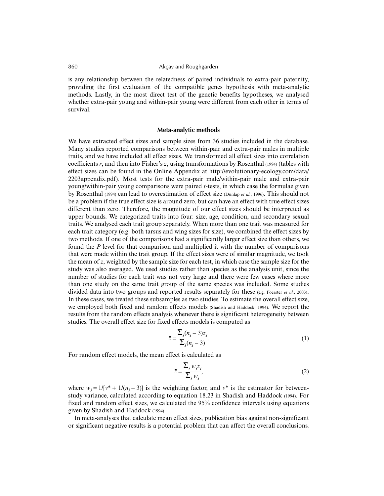is any relationship between the relatedness of paired individuals to extra-pair paternity, providing the first evaluation of the compatible genes hypothesis with meta-analytic methods. Lastly, in the most direct test of the genetic benefits hypotheses, we analysed whether extra-pair young and within-pair young were different from each other in terms of survival.

#### **Meta-analytic methods**

We have extracted effect sizes and sample sizes from 36 studies included in the database. Many studies reported comparisons between within-pair and extra-pair males in multiple traits, and we have included all effect sizes. We transformed all effect sizes into correlation coefficients *r*, and then into Fisher's *z*, using transformations by Rosenthal (1994) (tables with effect sizes can be found in the Online Appendix at http://evolutionary-ecology.com/data/ 2203appendix.pdf). Most tests for the extra-pair male/within-pair male and extra-pair young/within-pair young comparisons were paired *t*-tests, in which case the formulae given by Rosenthal (1994) can lead to overestimation of effect size (Dunlap *et al.*, 1996). This should not be a problem if the true effect size is around zero, but can have an effect with true effect sizes different than zero. Therefore, the magnitude of our effect sizes should be interpreted as upper bounds. We categorized traits into four: size, age, condition, and secondary sexual traits. We analysed each trait group separately. When more than one trait was measured for each trait category (e.g. both tarsus and wing sizes for size), we combined the effect sizes by two methods. If one of the comparisons had a significantly larger effect size than others, we found the *P* level for that comparison and multiplied it with the number of comparisons that were made within the trait group. If the effect sizes were of similar magnitude, we took the mean of *z*, weighted by the sample size for each test, in which case the sample size for the study was also averaged. We used studies rather than species as the analysis unit, since the number of studies for each trait was not very large and there were few cases where more than one study on the same trait group of the same species was included. Some studies divided data into two groups and reported results separately for these (e.g. Foerster *et al.*, 2003). In these cases, we treated these subsamples as two studies. To estimate the overall effect size, we employed both fixed and random effects models (Shadish and Haddock, 1994). We report the results from the random effects analysis whenever there is significant heterogeneity between studies. The overall effect size for fixed effects models is computed as

$$
\bar{z} = \frac{\sum_{j} (n_j - 3)z_j}{\sum_{j} (n_j - 3)}.
$$
\n
$$
(1)
$$

For random effect models, the mean effect is calculated as

$$
\bar{z} = \frac{\sum_{j} w_{j} z_{j}}{\sum_{j} w_{j}},
$$
\n(2)

where  $w_i = 1/[v^* + 1/(n_i - 3)]$  is the weighting factor, and  $v^*$  is the estimator for betweenstudy variance, calculated according to equation 18.23 in Shadish and Haddock (1994). For fixed and random effect sizes, we calculated the 95% confidence intervals using equations given by Shadish and Haddock (1994).

In meta-analyses that calculate mean effect sizes, publication bias against non-significant or significant negative results is a potential problem that can affect the overall conclusions.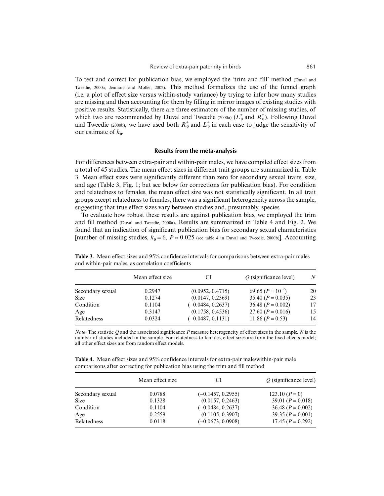To test and correct for publication bias, we employed the 'trim and fill' method (Duval and Tweedie, 2000a; Jennions and Møller, 2002). This method formalizes the use of the funnel graph (i.e. a plot of effect size versus within-study variance) by trying to infer how many studies are missing and then accounting for them by filling in mirror images of existing studies with positive results. Statistically, there are three estimators of the number of missing studies, of which two are recommended by Duval and Tweedie (2000a)  $(L_0^+$  and  $R_0^+$ ). Following Duval and Tweedie (2000b), we have used both  $R_0^+$  and  $L_0^+$  in each case to judge the sensitivity of our estimate of  $k_0$ .

#### **Results from the meta-analysis**

For differences between extra-pair and within-pair males, we have compiled effect sizes from a total of 45 studies. The mean effect sizes in different trait groups are summarized in Table 3. Mean effect sizes were significantly different than zero for secondary sexual traits, size, and age (Table 3, Fig. 1; but see below for corrections for publication bias). For condition and relatedness to females, the mean effect size was not statistically significant. In all trait groups except relatedness to females, there was a significant heterogeneity across the sample, suggesting that true effect sizes vary between studies and, presumably, species.

To evaluate how robust these results are against publication bias, we employed the trim and fill method (Duval and Tweedie, 2000a). Results are summarized in Table 4 and Fig. 2. We found that an indication of significant publication bias for secondary sexual characteristics [number of missing studies,  $k_0 = 6$ ,  $P \approx 0.025$  (see table 4 in Duval and Tweedie, 2000b)]. Accounting

|                  | Mean effect size | CI                  | $O$ (significance level) | N  |
|------------------|------------------|---------------------|--------------------------|----|
| Secondary sexual | 0.2947           | (0.0952, 0.4715)    | 69.65 $(P = 10^{-7})$    | 20 |
| <b>Size</b>      | 0.1274           | (0.0147, 0.2369)    | 35.40 $(P = 0.035)$      | 23 |
| Condition        | 0.1104           | $(-0.0484, 0.2637)$ | 36.48 $(P = 0.002)$      | 17 |
| Age              | 0.3147           | (0.1758, 0.4536)    | 27.60 $(P = 0.016)$      | 15 |
| Relatedness      | 0.0324           | $(-0.0487, 0.1131)$ | $11.86 (P = 0.53)$       | 14 |

**Table 3.** Mean effect sizes and 95% confidence intervals for comparisons between extra-pair males and within-pair males, as correlation coefficients

*Note*: The statistic *Q* and the associated significance *P* measure heterogeneity of effect sizes in the sample. *N* is the number of studies included in the sample. For relatedness to females, effect sizes are from the fixed effects model; all other effect sizes are from random effect models.

**Table 4.** Mean effect sizes and 95% confidence intervals for extra-pair male/within-pair male comparisons after correcting for publication bias using the trim and fill method

|                  | Mean effect size | CI                  | $Q$ (significance level) |
|------------------|------------------|---------------------|--------------------------|
| Secondary sexual | 0.0788           | $(-0.1457, 0.2955)$ | $123.10 (P=0)$           |
| <b>Size</b>      | 0.1328           | (0.0157, 0.2463)    | 39.01 $(P = 0.018)$      |
| Condition        | 0.1104           | $(-0.0484, 0.2637)$ | 36.48 $(P = 0.002)$      |
| Age              | 0.2559           | (0.1105, 0.3907)    | $39.35 (P = 0.001)$      |
| Relatedness      | 0.0118           | $(-0.0673, 0.0908)$ | $17.45 (P = 0.292)$      |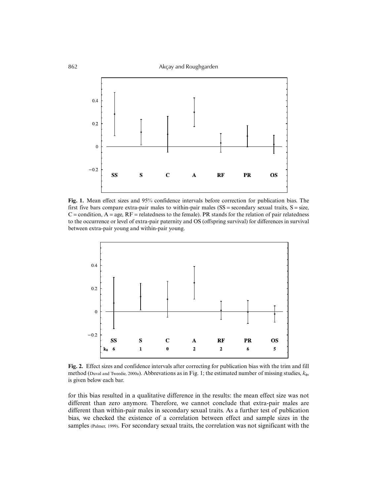

**Fig. 1.** Mean effect sizes and 95% confidence intervals before correction for publication bias. The first five bars compare extra-pair males to within-pair males ( $SS =$  secondary sexual traits,  $S =$  size,  $C =$  condition,  $A = age$ ,  $RF =$  relatedness to the female). PR stands for the relation of pair relatedness to the occurrence or level of extra-pair paternity and OS (offspring survival) for differences in survival between extra-pair young and within-pair young.



**Fig. 2.** Effect sizes and confidence intervals after correcting for publication bias with the trim and fill method (Duval and Tweedie, 2000a). Abbrevations as in Fig. 1; the estimated number of missing studies, *k***0**, is given below each bar.

for this bias resulted in a qualitative difference in the results: the mean effect size was not different than zero anymore. Therefore, we cannot conclude that extra-pair males are different than within-pair males in secondary sexual traits. As a further test of publication bias, we checked the existence of a correlation between effect and sample sizes in the samples (Palmer, 1999). For secondary sexual traits, the correlation was not significant with the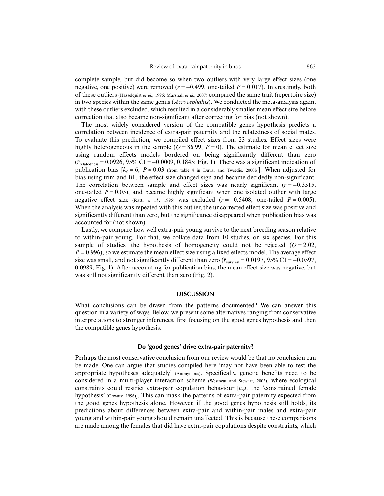complete sample, but did become so when two outliers with very large effect sizes (one negative, one positive) were removed  $(r = -0.499$ , one-tailed  $P = 0.017$ ). Interestingly, both of these outliers (Hasselquist *et al.*, 1996; Marshall *et al.*, 2007) compared the same trait (repertoire size) in two species within the same genus (*Acrocephalus*). We conducted the meta-analysis again, with these outliers excluded, which resulted in a considerably smaller mean effect size before correction that also became non-significant after correcting for bias (not shown).

The most widely considered version of the compatible genes hypothesis predicts a correlation between incidence of extra-pair paternity and the relatedness of social mates. To evaluate this prediction, we compiled effect sizes from 23 studies. Effect sizes were highly heterogeneous in the sample ( $Q = 86.99$ ,  $P = 0$ ). The estimate for mean effect size using random effects models bordered on being significantly different than zero (*¯r***relatedness** = 0.0926, 95% CI = −0.0009, 0.1845; Fig. 1). There was a significant indication of publication bias  $[k_0 = 6, P \approx 0.03$  (from table 4 in Duval and Tweedie, 2000b)]. When adjusted for bias using trim and fill, the effect size changed sign and became decidedly non-significant. The correlation between sample and effect sizes was nearly significant  $(r = -0.3515)$ , one-tailed  $P = 0.05$ ), and became highly significant when one isolated outlier with large negative effect size (Rätti *et al.*, 1995) was excluded  $(r = -0.5408$ , one-tailed  $P = 0.005$ ). When the analysis was repeated with this outlier, the uncorrected effect size was positive and significantly different than zero, but the significance disappeared when publication bias was accounted for (not shown).

Lastly, we compare how well extra-pair young survive to the next breeding season relative to within-pair young. For that, we collate data from 10 studies, on six species. For this sample of studies, the hypothesis of homogeneity could not be rejected  $(Q=2.02,$  $P = 0.996$ , so we estimate the mean effect size using a fixed effects model. The average effect size was small, and not significantly different than zero  $(\vec{r}_{\text{survival}} = 0.0197, 95\% \text{ CI} = -0.0597,$ 0.0989; Fig. 1). After accounting for publication bias, the mean effect size was negative, but was still not significantly different than zero (Fig. 2).

#### **DISCUSSION**

What conclusions can be drawn from the patterns documented? We can answer this question in a variety of ways. Below, we present some alternatives ranging from conservative interpretations to stronger inferences, first focusing on the good genes hypothesis and then the compatible genes hypothesis.

#### **Do 'good genes' drive extra-pair paternity?**

Perhaps the most conservative conclusion from our review would be that no conclusion can be made. One can argue that studies compiled here 'may not have been able to test the appropriate hypotheses adequately' (Anonymous). Specifically, genetic benefits need to be considered in a multi-player interaction scheme (Westneat and Stewart, 2003), where ecological constraints could restrict extra-pair copulation behaviour [e.g. the 'constrained female hypothesis' (Gowaty, 1996)]. This can mask the patterns of extra-pair paternity expected from the good genes hypothesis alone. However, if the good genes hypothesis still holds, its predictions about differences between extra-pair and within-pair males and extra-pair young and within-pair young should remain unaffected. This is because these comparisons are made among the females that did have extra-pair copulations despite constraints, which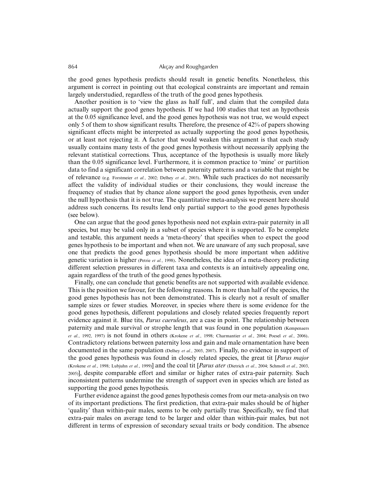the good genes hypothesis predicts should result in genetic benefits. Nonetheless, this argument is correct in pointing out that ecological constraints are important and remain largely understudied, regardless of the truth of the good genes hypothesis.

Another position is to 'view the glass as half full', and claim that the compiled data actually support the good genes hypothesis. If we had 100 studies that test an hypothesis at the 0.05 significance level, and the good genes hypothesis was not true, we would expect only 5 of them to show significant results. Therefore, the presence of 42% of papers showing significant effects might be interpreted as actually supporting the good genes hypothesis, or at least not rejecting it. A factor that would weaken this argument is that each study usually contains many tests of the good genes hypothesis without necessarily applying the relevant statistical corrections. Thus, acceptance of the hypothesis is usually more likely than the 0.05 significance level. Furthermore, it is common practice to 'mine' or partition data to find a significant correlation between paternity patterns and a variable that might be of relevance (e.g. Forstmeier *et al.*, 2002; Delhey *et al.*, 2003). While such practices do not necessarily affect the validity of individual studies or their conclusions, they would increase the frequency of studies that by chance alone support the good genes hypothesis, even under the null hypothesis that it is not true. The quantitative meta-analysis we present here should address such concerns. Its results lend only partial support to the good genes hypothesis (see below).

One can argue that the good genes hypothesis need not explain extra-pair paternity in all species, but may be valid only in a subset of species where it is supported. To be complete and testable, this argument needs a 'meta-theory' that specifies when to expect the good genes hypothesis to be important and when not. We are unaware of any such proposal, save one that predicts the good genes hypothesis should be more important when additive genetic variation is higher (Petrie *et al.*, 1998). Nonetheless, the idea of a meta-theory predicting different selection pressures in different taxa and contexts is an intuitively appealing one, again regardless of the truth of the good genes hypothesis.

Finally, one can conclude that genetic benefits are not supported with available evidence. This is the position we favour, for the following reasons. In more than half of the species, the good genes hypothesis has not been demonstrated. This is clearly not a result of smaller sample sizes or fewer studies. Moreover, in species where there is some evidence for the good genes hypothesis, different populations and closely related species frequently report evidence against it. Blue tits, *Parus caeruleus*, are a case in point. The relationship between paternity and male survival or strophe length that was found in one population (Kempenaers *et al.*, 1992, 1997) is not found in others (Krokene *et al.*, 1998; Charmantier *et al.*, 2004; Poesel *et al.*, 2006). Contradictory relations between paternity loss and gain and male ornamentation have been documented in the same population (Delhey *et al.*, 2003, 2007). Finally, no evidence in support of the good genes hypothesis was found in closely related species, the great tit [*Parus major* (Krokene *et al.*, 1998; Lubjuhn *et al.*, 1999)] and the coal tit [*Parus ater* (Dietrich *et al.*, 2004; Schmoll *et al.*, 2003, 2005)], despite comparable effort and similar or higher rates of extra-pair paternity. Such inconsistent patterns undermine the strength of support even in species which are listed as supporting the good genes hypothesis.

Further evidence against the good genes hypothesis comes from our meta-analysis on two of its important predictions. The first prediction, that extra-pair males should be of higher 'quality' than within-pair males, seems to be only partially true. Specifically, we find that extra-pair males on average tend to be larger and older than within-pair males, but not different in terms of expression of secondary sexual traits or body condition. The absence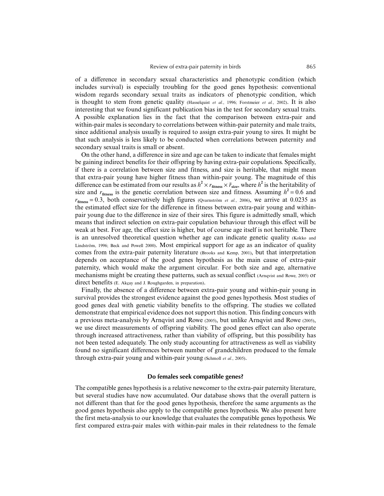of a difference in secondary sexual characteristics and phenotypic condition (which includes survival) is especially troubling for the good genes hypothesis: conventional wisdom regards secondary sexual traits as indicators of phenotypic condition, which is thought to stem from genetic quality (Hasselquist *et al.*, 1996; Forstmeier *et al.*, 2002). It is also interesting that we found significant publication bias in the test for secondary sexual traits. A possible explanation lies in the fact that the comparison between extra-pair and within-pair males is secondary to correlations between within-pair paternity and male traits, since additional analysis usually is required to assign extra-pair young to sires. It might be that such analysis is less likely to be conducted when correlations between paternity and secondary sexual traits is small or absent.

On the other hand, a difference in size and age can be taken to indicate that females might be gaining indirect benefits for their offspring by having extra-pair copulations. Specifically, if there is a correlation between size and fitness, and size is heritable, that might mean that extra-pair young have higher fitness than within-pair young. The magnitude of this difference can be estimated from our results as  $h^2 \times r_{\text{fitness}} \times \bar{r}_{\text{size}}$ , where  $h^2$  is the heritability of size and  $r_{\text{fitness}}$  is the genetic correlation between size and fitness. Assuming  $h^2 = 0.6$  and  $r_{\text{fitness}} = 0.3$ , both conservatively high figures (Qvarnström *et al.*, 2006), we arrive at 0.0235 as the estimated effect size for the difference in fitness between extra-pair young and withinpair young due to the difference in size of their sires. This figure is admittedly small, which means that indirect selection on extra-pair copulation behaviour through this effect will be weak at best. For age, the effect size is higher, but of course age itself is not heritable. There is an unresolved theoretical question whether age can indicate genetic quality (Kokko and Lindström, 1996; Beck and Powell 2000). Most empirical support for age as an indicator of quality comes from the extra-pair paternity literature (Brooks and Kemp, 2001), but that interpretation depends on acceptance of the good genes hypothesis as the main cause of extra-pair paternity, which would make the argument circular. For both size and age, alternative mechanisms might be creating these patterns, such as sexual conflict (Arnqvist and Rowe, 2005) or direct benefits (E. Akçay and J. Roughgarden, in preparation).

Finally, the absence of a difference between extra-pair young and within-pair young in survival provides the strongest evidence against the good genes hypothesis. Most studies of good genes deal with genetic viability benefits to the offspring. The studies we collated demonstrate that empirical evidence does not support this notion. This finding concurs with a previous meta-analysis by Arnqvist and Rowe (2005), but unlike Arnqvist and Rowe (2005), we use direct measurements of offspring viability. The good genes effect can also operate through increased attractiveness, rather than viability of offspring, but this possibility has not been tested adequately. The only study accounting for attractiveness as well as viability found no significant differences between number of grandchildren produced to the female through extra-pair young and within-pair young (Schmoll *et al.*, 2005).

#### **Do females seek compatible genes?**

The compatible genes hypothesis is a relative newcomer to the extra-pair paternity literature, but several studies have now accumulated. Our database shows that the overall pattern is not different than that for the good genes hypothesis, therefore the same arguments as the good genes hypothesis also apply to the compatible genes hypothesis. We also present here the first meta-analysis to our knowledge that evaluates the compatible genes hypothesis. We first compared extra-pair males with within-pair males in their relatedness to the female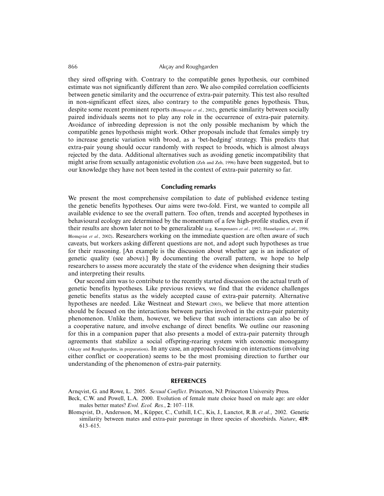they sired offspring with. Contrary to the compatible genes hypothesis, our combined estimate was not significantly different than zero. We also compiled correlation coefficients between genetic similarity and the occurrence of extra-pair paternity. This test also resulted in non-significant effect sizes, also contrary to the compatible genes hypothesis. Thus, despite some recent prominent reports (Blomqvist *et al.*, 2002), genetic similarity between socially paired individuals seems not to play any role in the occurrence of extra-pair paternity. Avoidance of inbreeding depression is not the only possible mechanism by which the compatible genes hypothesis might work. Other proposals include that females simply try to increase genetic variation with brood, as a 'bet-hedging' strategy. This predicts that extra-pair young should occur randomly with respect to broods, which is almost always rejected by the data. Additional alternatives such as avoiding genetic incompatibility that might arise from sexually antagonistic evolution (Zeh and Zeh, 1996) have been suggested, but to our knowledge they have not been tested in the context of extra-pair paternity so far.

#### **Concluding remarks**

We present the most comprehensive compilation to date of published evidence testing the genetic benefits hypotheses. Our aims were two-fold. First, we wanted to compile all available evidence to see the overall pattern. Too often, trends and accepted hypotheses in behavioural ecology are determined by the momentum of a few high-profile studies, even if their results are shown later not to be generalizable (e.g. Kempenaers *et al.*, 1992; Hasselquist *et al.*, 1996; Blomqvist *et al.*, 2002). Researchers working on the immediate question are often aware of such caveats, but workers asking different questions are not, and adopt such hypotheses as true for their reasoning. [An example is the discussion about whether age is an indicator of genetic quality (see above).] By documenting the overall pattern, we hope to help researchers to assess more accurately the state of the evidence when designing their studies and interpreting their results.

Our second aim was to contribute to the recently started discussion on the actual truth of genetic benefits hypotheses. Like previous reviews, we find that the evidence challenges genetic benefits status as the widely accepted cause of extra-pair paternity. Alternative hypotheses are needed. Like Westneat and Stewart (2003), we believe that more attention should be focused on the interactions between parties involved in the extra-pair paternity phenomenon. Unlike them, however, we believe that such interactions can also be of a cooperative nature, and involve exchange of direct benefits. We outline our reasoning for this in a companion paper that also presents a model of extra-pair paternity through agreements that stabilize a social offspring-rearing system with economic monogamy (Akçay and Roughgarden, in preparation). In any case, an approach focusing on interactions (involving either conflict or cooperation) seems to be the most promising direction to further our understanding of the phenomenon of extra-pair paternity.

#### **REFERENCES**

Arnqvist, G. and Rowe, L. 2005. *Sexual Conflict*. Princeton, NJ: Princeton University Press.

- Beck, C.W. and Powell, L.A. 2000. Evolution of female mate choice based on male age: are older males better mates? *Evol. Ecol. Res.*, **2**: 107–118.
- Blomqvist, D., Andersson, M., Küpper, C., Cuthill, I.C., Kis, J., Lanctot, R.B. *et al.*, 2002. Genetic similarity between mates and extra-pair parentage in three species of shorebirds. *Nature*, **419**: 613–615.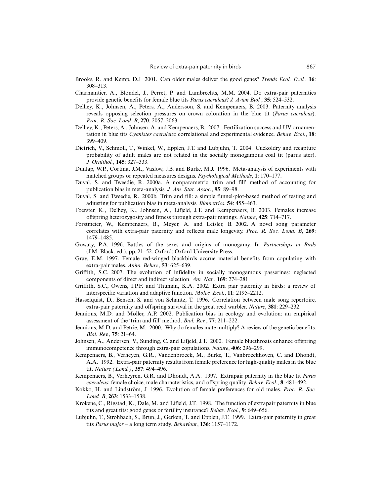- Brooks, R. and Kemp, D.J. 2001. Can older males deliver the good genes? *Trends Ecol. Evol.*, **16**: 308–313.
- Charmantier, A., Blondel, J., Perret, P. and Lambrechts, M.M. 2004. Do extra-pair paternities provide genetic benefits for female blue tits *Parus caeruleus*? *J. Avian Biol.*, **35**: 524–532.
- Delhey, K., Johnsen, A., Peters, A., Andersson, S. and Kempenaers, B. 2003. Paternity analysis reveals opposing selection pressures on crown coloration in the blue tit (*Parus caeruleus*). *Proc. R. Soc. Lond. B*, **270**: 2057–2063.
- Delhey, K., Peters, A., Johnsen, A. and Kempenaers, B. 2007. Fertilization success and UV ornamentation in blue tits *Cyanistes caeruleus*: correlational and experimental evidence. *Behav. Ecol.*, **18**: 399–409.
- Dietrich, V., Schmoll, T., Winkel, W., Epplen, J.T. and Lubjuhn, T. 2004. Cuckoldry and recapture probability of adult males are not related in the socially monogamous coal tit (parus ater). *J. Ornithol.*, **145**: 327–333.
- Dunlap, W.P., Cortina, J.M., Vaslow, J.B. and Burke, M.J. 1996. Meta-analysis of experiments with matched groups or repeated measures designs. *Psychological Methods*, **1**: 170–177.
- Duval, S. and Tweedie, R. 2000a. A nonparametric 'trim and fill' method of accounting for publication bias in meta-analysis. *J. Am. Stat. Assoc.*, **95**: 89–98.
- Duval, S. and Tweedie, R. 2000b. Trim and fill: a simple funnel-plot-based method of testing and adjusting for publication bias in meta-analysis. *Biometrics*, **54**: 455–463.
- Foerster, K., Delhey, K., Johnsen, A., Lifjeld, J.T. and Kempenaers, B. 2003. Females increase offspring heterozygosity and fitness through extra-pair matings. *Nature*, **425**: 714–717.
- Forstmeier, W., Kempenaers, B., Meyer, A. and Leisler, B. 2002. A novel song parameter correlates with extra-pair paternity and reflects male longevity. *Proc. R. Soc. Lond. B*, **269**: 1479–1485.
- Gowaty, P.A. 1996. Battles of the sexes and origins of monogamy. In *Partnerships in Birds* (J.M. Black, ed.), pp. 21–52. Oxford: Oxford University Press.
- Gray, E.M. 1997. Female red-winged blackbirds accrue material benefits from copulating with extra-pair males. *Anim. Behav.*, **53**: 625–639.
- Griffith, S.C. 2007. The evolution of infidelity in socially monogamous passerines: neglected components of direct and indirect selection. *Am. Nat.*, **169**: 274–281.
- Griffith, S.C., Owens, I.P.F. and Thuman, K.A. 2002. Extra pair paternity in birds: a review of interspecific variation and adaptive function. *Molec. Ecol.*, **11**: 2195–2212.
- Hasselquist, D., Bensch, S. and von Schantz, T. 1996. Correlation between male song repertoire, extra-pair paternity and offspring survival in the great reed warbler. *Nature*, **381**: 229–232.
- Jennions, M.D. and Møller, A.P. 2002. Publication bias in ecology and evolution: an empirical assessment of the 'trim and fill' method. *Biol. Rev.*, **77**: 211–222.
- Jennions, M.D. and Petrie, M. 2000. Why do females mate multiply? A review of the genetic benefits. *Biol. Rev.*, **75**: 21–64.
- Johnsen, A., Andersen, V., Sunding, C. and Lifjeld, J.T. 2000. Female bluethroats enhance offspring immunocompetence through extra-pair copulations. *Nature*, **406**: 296–299.
- Kempenaers, B., Verheyen, G.R., Vandenbroeck, M., Burke, T., Vanbroeckhoven, C. and Dhondt, A.A. 1992. Extra-pair paternity results from female preference for high-quality males in the blue tit. *Nature (Lond.)*, **357**: 494–496.
- Kempenaers, B., Verheyren, G.R. and Dhondt, A.A. 1997. Extrapair paternity in the blue tit *Parus caeruleus*: female choice, male characteristics, and offspring quality. *Behav. Ecol.*, **8**: 481–492.
- Kokko, H. and Lindström, J. 1996. Evolution of female preferences for old males. *Proc. R. Soc. Lond. B*, **263**: 1533–1538.
- Krokene, C., Rigstad, K., Dale, M. and Lifjeld, J.T. 1998. The function of extrapair paternity in blue tits and great tits: good genes or fertility insurance? *Behav. Ecol.*, **9**: 649–656.
- Lubjuhn, T., Strohbach, S., Brun, J., Gerken, T. and Epplen, J.T. 1999. Extra-pair paternity in great tits *Parus major* – a long term study. *Behaviour*, **136**: 1157–1172.